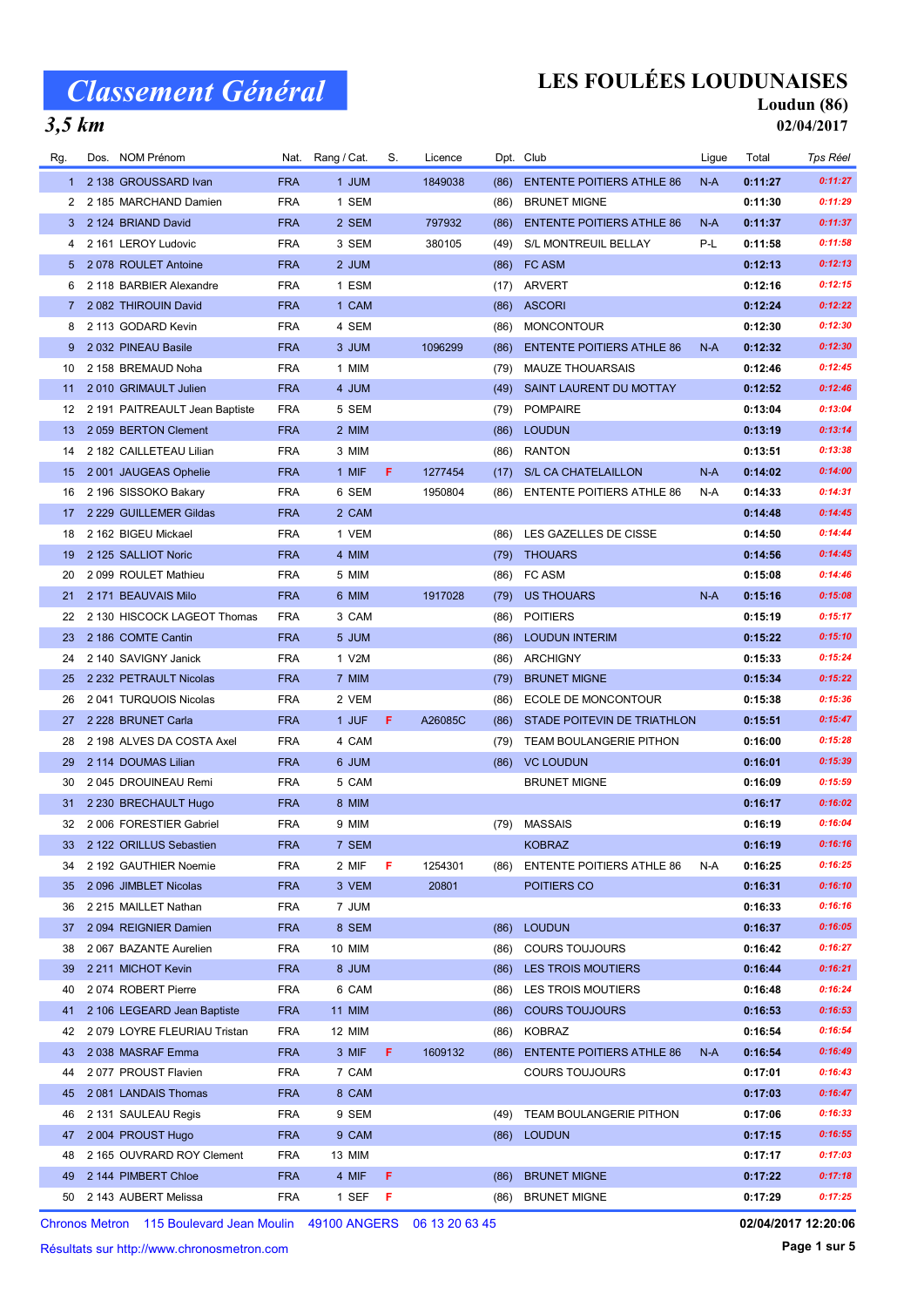### LES FOULÉES LOUDUNAISES

#### $3,5$  km

Loudun (86) 02/04/2017

| Rg.       | Dos. NOM Prénom                |            | Nat. Rang / Cat. | S. | Licence |      | Dpt. Club                        | Ligue | Total   | Tps Réel |
|-----------|--------------------------------|------------|------------------|----|---------|------|----------------------------------|-------|---------|----------|
| $1 \quad$ | 2 138 GROUSSARD Ivan           | <b>FRA</b> | 1 JUM            |    | 1849038 | (86) | <b>ENTENTE POITIERS ATHLE 86</b> | $N-A$ | 0:11:27 | 0:11:27  |
|           | 2 2 185 MARCHAND Damien        | <b>FRA</b> | 1 SEM            |    |         | (86) | <b>BRUNET MIGNE</b>              |       | 0:11:30 | 0:11:29  |
| 3         | 2 124 BRIAND David             | <b>FRA</b> | 2 SEM            |    | 797932  | (86) | <b>ENTENTE POITIERS ATHLE 86</b> | $N-A$ | 0:11:37 | 0:11:37  |
| 4         | 2 161 LEROY Ludovic            | <b>FRA</b> | 3 SEM            |    | 380105  | (49) | S/L MONTREUIL BELLAY             | P-L   | 0:11:58 | 0:11:58  |
|           | 5 2 078 ROULET Antoine         | <b>FRA</b> | 2 JUM            |    |         | (86) | FC ASM                           |       | 0:12:13 | 0:12:13  |
| 6         | 2 118 BARBIER Alexandre        | <b>FRA</b> | 1 ESM            |    |         | (17) | ARVERT                           |       | 0:12:16 | 0:12:15  |
| 7         | 2 082 THIROUIN David           | <b>FRA</b> | 1 CAM            |    |         | (86) | <b>ASCORI</b>                    |       | 0:12:24 | 0:12:22  |
| 8         | 2 113 GODARD Kevin             | <b>FRA</b> | 4 SEM            |    |         | (86) | <b>MONCONTOUR</b>                |       | 0:12:30 | 0:12:30  |
| 9         | 2032 PINEAU Basile             | <b>FRA</b> | 3 JUM            |    | 1096299 | (86) | <b>ENTENTE POITIERS ATHLE 86</b> | N-A   | 0:12:32 | 0:12:30  |
| 10        | 2 158 BREMAUD Noha             | <b>FRA</b> | 1 MIM            |    |         | (79) | <b>MAUZE THOUARSAIS</b>          |       | 0:12:46 | 0:12:45  |
| 11        | 2010 GRIMAULT Julien           | <b>FRA</b> | 4 JUM            |    |         | (49) | SAINT LAURENT DU MOTTAY          |       | 0:12:52 | 0:12:46  |
| 12        | 2 191 PAITREAULT Jean Baptiste | <b>FRA</b> | 5 SEM            |    |         | (79) | <b>POMPAIRE</b>                  |       | 0:13:04 | 0:13:04  |
| 13        | 2059 BERTON Clement            | <b>FRA</b> | 2 MIM            |    |         | (86) | <b>LOUDUN</b>                    |       | 0:13:19 | 0:13:14  |
| 14        | 2 182 CAILLETEAU Lilian        | <b>FRA</b> | 3 MIM            |    |         | (86) | <b>RANTON</b>                    |       | 0:13:51 | 0:13:38  |
| 15        | 2001 JAUGEAS Ophelie           | <b>FRA</b> | 1 MIF            | F. | 1277454 | (17) | S/L CA CHATELAILLON              | $N-A$ | 0:14:02 | 0:14:00  |
| 16        | 2 196 SISSOKO Bakary           | <b>FRA</b> | 6 SEM            |    | 1950804 | (86) | <b>ENTENTE POITIERS ATHLE 86</b> | N-A   | 0:14:33 | 0:14:31  |
| 17        | 2 229 GUILLEMER Gildas         | <b>FRA</b> | 2 CAM            |    |         |      |                                  |       | 0:14:48 | 0:14:45  |
| 18        | 2 162 BIGEU Mickael            | <b>FRA</b> | 1 VEM            |    |         | (86) | LES GAZELLES DE CISSE            |       | 0:14:50 | 0:14:44  |
| 19        | 2 125 SALLIOT Noric            | <b>FRA</b> | 4 MIM            |    |         | (79) | <b>THOUARS</b>                   |       | 0:14:56 | 0:14:45  |
| 20        | 2 099 ROULET Mathieu           | <b>FRA</b> | 5 MIM            |    |         | (86) | FC ASM                           |       | 0:15:08 | 0:14:46  |
| 21        | 2 171 BEAUVAIS Milo            | <b>FRA</b> | 6 MIM            |    | 1917028 | (79) | <b>US THOUARS</b>                | $N-A$ | 0:15:16 | 0:15:08  |
| 22        | 2 130 HISCOCK LAGEOT Thomas    | <b>FRA</b> | 3 CAM            |    |         | (86) | <b>POITIERS</b>                  |       | 0:15:19 | 0:15:17  |
| 23        | 2 186 COMTE Cantin             | <b>FRA</b> | 5 JUM            |    |         | (86) | <b>LOUDUN INTERIM</b>            |       | 0:15:22 | 0:15:10  |
| 24        | 2 140 SAVIGNY Janick           | <b>FRA</b> | 1 V2M            |    |         | (86) | <b>ARCHIGNY</b>                  |       | 0:15:33 | 0:15:24  |
| 25        | 2 232 PETRAULT Nicolas         | <b>FRA</b> | 7 MIM            |    |         | (79) | <b>BRUNET MIGNE</b>              |       | 0:15:34 | 0:15:22  |
| 26        | 2 041 TURQUOIS Nicolas         | <b>FRA</b> | 2 VEM            |    |         | (86) | ECOLE DE MONCONTOUR              |       | 0:15:38 | 0:15:36  |
| 27        | 2 228 BRUNET Carla             | <b>FRA</b> | 1 JUF            | F  | A26085C | (86) | STADE POITEVIN DE TRIATHLON      |       | 0:15:51 | 0:15:47  |
| 28        | 2 198 ALVES DA COSTA Axel      | <b>FRA</b> | 4 CAM            |    |         | (79) | TEAM BOULANGERIE PITHON          |       | 0:16:00 | 0:15:28  |
| 29        | 2 114 DOUMAS Lilian            | <b>FRA</b> | 6 JUM            |    |         | (86) | <b>VC LOUDUN</b>                 |       | 0:16:01 | 0:15:39  |
| 30        | 2045 DROUINEAU Remi            | <b>FRA</b> | 5 CAM            |    |         |      | <b>BRUNET MIGNE</b>              |       | 0:16:09 | 0:15:59  |
| 31        | 2 230 BRECHAULT Hugo           | <b>FRA</b> | 8 MIM            |    |         |      |                                  |       | 0:16:17 | 0:16:02  |
| 32        | 2006 FORESTIER Gabriel         | <b>FRA</b> | 9 MIM            |    |         | (79) | <b>MASSAIS</b>                   |       | 0:16:19 | 0:16:04  |
|           | 33 2 122 ORILLUS Sebastien     | <b>FRA</b> | 7 SEM            |    |         |      | <b>KOBRAZ</b>                    |       | 0:16:19 | 0:16:16  |
| 34        | 2 192 GAUTHIER Noemie          | <b>FRA</b> | 2 MIF            | F  | 1254301 | (86) | <b>ENTENTE POITIERS ATHLE 86</b> | N-A   | 0:16:25 | 0:16:25  |
| 35        | 2 096 JIMBLET Nicolas          | <b>FRA</b> | 3 VEM            |    | 20801   |      | POITIERS CO                      |       | 0:16:31 | 0:16:10  |
| 36        | 2 215 MAILLET Nathan           | <b>FRA</b> | 7 JUM            |    |         |      |                                  |       | 0:16:33 | 0:16:16  |
| 37        | 2094 REIGNIER Damien           | <b>FRA</b> | 8 SEM            |    |         | (86) | <b>LOUDUN</b>                    |       | 0:16:37 | 0:16:05  |
| 38        | 2 067 BAZANTE Aurelien         | <b>FRA</b> | 10 MIM           |    |         | (86) | <b>COURS TOUJOURS</b>            |       | 0:16:42 | 0:16:27  |
| 39        | 2 211 MICHOT Kevin             | <b>FRA</b> | 8 JUM            |    |         | (86) | LES TROIS MOUTIERS               |       | 0:16:44 | 0:16:21  |
| 40        | 2074 ROBERT Pierre             | <b>FRA</b> | 6 CAM            |    |         | (86) | LES TROIS MOUTIERS               |       | 0:16:48 | 0:16:24  |
| 41        | 2 106 LEGEARD Jean Baptiste    | <b>FRA</b> | <b>11 MIM</b>    |    |         | (86) | <b>COURS TOUJOURS</b>            |       | 0:16:53 | 0:16:53  |
| 42        | 2 079 LOYRE FLEURIAU Tristan   | <b>FRA</b> | 12 MIM           |    |         | (86) | <b>KOBRAZ</b>                    |       | 0:16:54 | 0:16:54  |
| 43        | 2038 MASRAF Emma               | <b>FRA</b> | 3 MIF            | F  | 1609132 | (86) | <b>ENTENTE POITIERS ATHLE 86</b> | N-A   | 0:16:54 | 0:16:49  |
| 44        | 2077 PROUST Flavien            | <b>FRA</b> | 7 CAM            |    |         |      | <b>COURS TOUJOURS</b>            |       | 0:17:01 | 0:16:43  |
| 45        | 2081 LANDAIS Thomas            | <b>FRA</b> | 8 CAM            |    |         |      |                                  |       | 0:17:03 | 0:16:47  |
| 46        | 2 131 SAULEAU Regis            | <b>FRA</b> | 9 SEM            |    |         | (49) | TEAM BOULANGERIE PITHON          |       | 0:17:06 | 0:16:33  |
| 47        | 2004 PROUST Hugo               | <b>FRA</b> | 9 CAM            |    |         | (86) | <b>LOUDUN</b>                    |       | 0:17:15 | 0:16:55  |
| 48        | 2 165 OUVRARD ROY Clement      | <b>FRA</b> | 13 MIM           |    |         |      |                                  |       | 0:17:17 | 0:17:03  |
| 49        | 2 144 PIMBERT Chloe            | <b>FRA</b> | 4 MIF            | F. |         | (86) | <b>BRUNET MIGNE</b>              |       | 0:17:22 | 0:17:18  |
|           | 50 2 143 AUBERT Melissa        | FRA        | 1 SEF F          |    |         | (86) | <b>BRUNET MIGNE</b>              |       | 0:17:29 | 0:17:25  |
|           |                                |            |                  |    |         |      |                                  |       |         |          |

Chronos Metron 115 Boulevard Jean Moulin 49100 ANGERS 06 13 20 63 45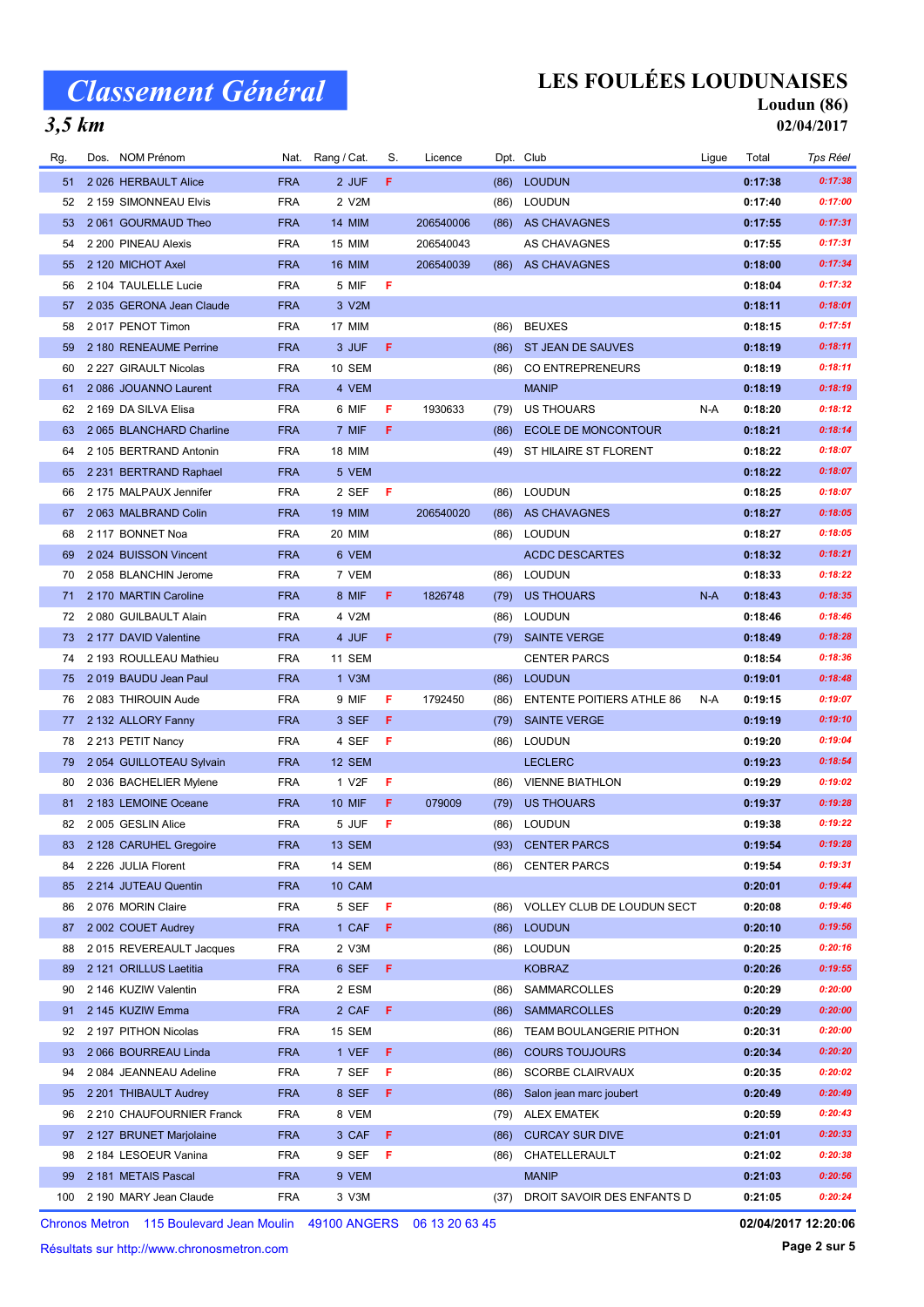$3,5$  km

#### LES FOULÉES LOUDUNAISES

#### Loudun (86)

02/04/2017

| Rg. | Dos. NOM Prénom            |            | Nat. Rang / Cat.   | S. | Licence   |      | Dpt. Club                        | Ligue | Total   | <b>Tps Réel</b> |
|-----|----------------------------|------------|--------------------|----|-----------|------|----------------------------------|-------|---------|-----------------|
| 51  | 2026 HERBAULT Alice        | <b>FRA</b> | 2 JUF              | F. |           | (86) | <b>LOUDUN</b>                    |       | 0:17:38 | 0:17:38         |
| 52  | 2 159 SIMONNEAU Elvis      | <b>FRA</b> | 2 V2M              |    |           | (86) | <b>LOUDUN</b>                    |       | 0:17:40 | 0:17:00         |
| 53  | 2061 GOURMAUD Theo         | <b>FRA</b> | <b>14 MIM</b>      |    | 206540006 |      | (86) AS CHAVAGNES                |       | 0:17:55 | 0:17:31         |
| 54  | 2 200 PINEAU Alexis        | <b>FRA</b> | 15 MIM             |    | 206540043 |      | AS CHAVAGNES                     |       | 0:17:55 | 0:17:31         |
| 55  | 2 120 MICHOT Axel          | <b>FRA</b> | <b>16 MIM</b>      |    | 206540039 | (86) | <b>AS CHAVAGNES</b>              |       | 0:18:00 | 0:17:34         |
| 56  | 2 104 TAULELLE Lucie       | <b>FRA</b> | 5 MIF              | F  |           |      |                                  |       | 0:18:04 | 0:17:32         |
| 57  | 2 035 GERONA Jean Claude   | <b>FRA</b> | 3 V2M              |    |           |      |                                  |       | 0:18:11 | 0:18:01         |
| 58  | 2017 PENOT Timon           | <b>FRA</b> | 17 MIM             |    |           | (86) | <b>BEUXES</b>                    |       | 0:18:15 | 0:17:51         |
| 59  | 2 180 RENEAUME Perrine     | <b>FRA</b> | 3 JUF              | F  |           | (86) | ST JEAN DE SAUVES                |       | 0:18:19 | 0:18:11         |
| 60  | 2 227 GIRAULT Nicolas      | <b>FRA</b> | 10 SEM             |    |           | (86) | <b>CO ENTREPRENEURS</b>          |       | 0:18:19 | 0:18:11         |
| 61  | 2086 JOUANNO Laurent       | <b>FRA</b> | 4 VEM              |    |           |      | <b>MANIP</b>                     |       | 0:18:19 | 0:18:19         |
| 62  | 2 169 DA SILVA Elisa       | <b>FRA</b> | 6 MIF              | F  | 1930633   | (79) | US THOUARS                       | N-A   | 0:18:20 | 0:18:12         |
| 63  | 2 065 BLANCHARD Charline   | <b>FRA</b> | 7 MIF              | F. |           | (86) | <b>ECOLE DE MONCONTOUR</b>       |       | 0:18:21 | 0:18:14         |
| 64  | 2 105 BERTRAND Antonin     | <b>FRA</b> | <b>18 MIM</b>      |    |           | (49) | ST HILAIRE ST FLORENT            |       | 0:18:22 | 0:18:07         |
| 65  | 2 231 BERTRAND Raphael     | <b>FRA</b> | 5 VEM              |    |           |      |                                  |       | 0:18:22 | 0:18:07         |
| 66  | 2 175 MALPAUX Jennifer     | <b>FRA</b> | 2 SEF              | F  |           | (86) | <b>LOUDUN</b>                    |       | 0:18:25 | 0:18:07         |
| 67  | 2 063 MALBRAND Colin       | <b>FRA</b> | <b>19 MIM</b>      |    | 206540020 |      | (86) AS CHAVAGNES                |       | 0:18:27 | 0:18:05         |
| 68  | 2 117 BONNET Noa           | <b>FRA</b> | 20 MIM             |    |           | (86) | <b>LOUDUN</b>                    |       | 0:18:27 | 0:18:05         |
| 69  | 2024 BUISSON Vincent       | <b>FRA</b> | 6 VEM              |    |           |      | <b>ACDC DESCARTES</b>            |       | 0:18:32 | 0:18:21         |
| 70  | 2 058 BLANCHIN Jerome      | <b>FRA</b> | 7 VEM              |    |           | (86) | <b>LOUDUN</b>                    |       | 0:18:33 | 0:18:22         |
| 71  | 2 170 MARTIN Caroline      | <b>FRA</b> | 8 MIF              | F  | 1826748   | (79) | <b>US THOUARS</b>                | $N-A$ | 0:18:43 | 0:18:35         |
| 72  | 2 080 GUILBAULT Alain      | <b>FRA</b> | 4 V2M              |    |           | (86) | <b>LOUDUN</b>                    |       | 0:18:46 | 0:18:46         |
| 73  | 2 177 DAVID Valentine      | <b>FRA</b> | 4 JUF              | F. |           | (79) | <b>SAINTE VERGE</b>              |       | 0:18:49 | 0:18:28         |
| 74  | 2 193 ROULLEAU Mathieu     | <b>FRA</b> | 11 SEM             |    |           |      | <b>CENTER PARCS</b>              |       | 0:18:54 | 0:18:36         |
| 75  | 2019 BAUDU Jean Paul       | <b>FRA</b> | 1 V3M              |    |           | (86) | <b>LOUDUN</b>                    |       | 0:19:01 | 0:18:48         |
| 76  | 2083 THIROUIN Aude         | <b>FRA</b> | 9 MIF              | F  | 1792450   | (86) | <b>ENTENTE POITIERS ATHLE 86</b> | N-A   | 0:19:15 | 0:19:07         |
| 77  | 2 132 ALLORY Fanny         | <b>FRA</b> | 3 SEF              | F  |           | (79) | <b>SAINTE VERGE</b>              |       | 0:19:19 | 0:19:10         |
| 78  | 2 213 PETIT Nancy          | <b>FRA</b> | 4 SEF              | F  |           | (86) | <b>LOUDUN</b>                    |       | 0:19:20 | 0:19:04         |
| 79  | 2 054 GUILLOTEAU Sylvain   | <b>FRA</b> | 12 SEM             |    |           |      | <b>LECLERC</b>                   |       | 0:19:23 | 0:18:54         |
| 80  | 2 036 BACHELIER Mylene     | <b>FRA</b> | 1 V <sub>2</sub> F | F  |           | (86) | <b>VIENNE BIATHLON</b>           |       | 0:19:29 | 0:19:02         |
| 81  | 2 183 LEMOINE Oceane       | <b>FRA</b> | <b>10 MIF</b>      | F  | 079009    | (79) | US THOUARS                       |       | 0:19:37 | 0:19:28         |
| 82  | 2 005 GESLIN Alice         | <b>FRA</b> | 5 JUF              | F  |           | (86) | <b>LOUDUN</b>                    |       | 0:19:38 | 0:19:22         |
| 83  | 2 128 CARUHEL Gregoire     | <b>FRA</b> | <b>13 SEM</b>      |    |           |      | (93) CENTER PARCS                |       | 0:19:54 | 0:19:28         |
| 84  | 2 226 JULIA Florent        | <b>FRA</b> | 14 SEM             |    |           | (86) | <b>CENTER PARCS</b>              |       | 0:19:54 | 0:19:31         |
| 85  | 2 214 JUTEAU Quentin       | <b>FRA</b> | 10 CAM             |    |           |      |                                  |       | 0:20:01 | 0:19:44         |
| 86  | 2076 MORIN Claire          | <b>FRA</b> | 5 SEF              | F. |           | (86) | VOLLEY CLUB DE LOUDUN SECT       |       | 0:20:08 | 0:19:46         |
| 87  | 2002 COUET Audrey          | <b>FRA</b> | 1 CAF              | F  |           | (86) | <b>LOUDUN</b>                    |       | 0:20:10 | 0:19:56         |
| 88  | 2015 REVEREAULT Jacques    | <b>FRA</b> | 2 V3M              |    |           | (86) | <b>LOUDUN</b>                    |       | 0:20:25 | 0:20:16         |
| 89  | 2 121 ORILLUS Laetitia     | <b>FRA</b> | 6 SEF              | F  |           |      | <b>KOBRAZ</b>                    |       | 0:20:26 | 0:19:55         |
| 90  | 2 146 KUZIW Valentin       | <b>FRA</b> | 2 ESM              |    |           | (86) | SAMMARCOLLES                     |       | 0:20:29 | 0:20:00         |
| 91  | 2 145 KUZIW Emma           | <b>FRA</b> | 2 CAF              | F  |           | (86) | <b>SAMMARCOLLES</b>              |       | 0:20:29 | 0:20:00         |
| 92  | 2 197 PITHON Nicolas       | <b>FRA</b> | 15 SEM             |    |           | (86) | TEAM BOULANGERIE PITHON          |       | 0:20:31 | 0:20:00         |
| 93  | 2 066 BOURREAU Linda       | <b>FRA</b> | 1 VEF              | F  |           | (86) | <b>COURS TOUJOURS</b>            |       | 0:20:34 | 0:20:20         |
| 94  | 2 084 JEANNEAU Adeline     | <b>FRA</b> | 7 SEF              | F  |           | (86) | <b>SCORBE CLAIRVAUX</b>          |       | 0:20:35 | 0:20:02         |
| 95  | 2 201 THIBAULT Audrey      | <b>FRA</b> | 8 SEF              | F  |           | (86) | Salon jean marc joubert          |       | 0:20:49 | 0:20:49         |
| 96  | 2 210 CHAUFOURNIER Franck  | <b>FRA</b> | 8 VEM              |    |           | (79) | <b>ALEX EMATEK</b>               |       | 0:20:59 | 0:20:43         |
| 97  | 2 127 BRUNET Marjolaine    | <b>FRA</b> | 3 CAF              | F  |           | (86) | <b>CURCAY SUR DIVE</b>           |       | 0:21:01 | 0:20:33         |
| 98  | 2 184 LESOEUR Vanina       | <b>FRA</b> | 9 SEF              | F  |           | (86) | CHATELLERAULT                    |       | 0:21:02 | 0:20:38         |
| 99  | 2 181 METAIS Pascal        | <b>FRA</b> | 9 VEM              |    |           |      | <b>MANIP</b>                     |       | 0:21:03 | 0:20:56         |
|     | 100 2 190 MARY Jean Claude | <b>FRA</b> | 3 V3M              |    |           | (37) | DROIT SAVOIR DES ENFANTS D       |       | 0:21:05 | 0:20:24         |

Chronos Metron 115 Boulevard Jean Moulin 49100 ANGERS 06 13 20 63 45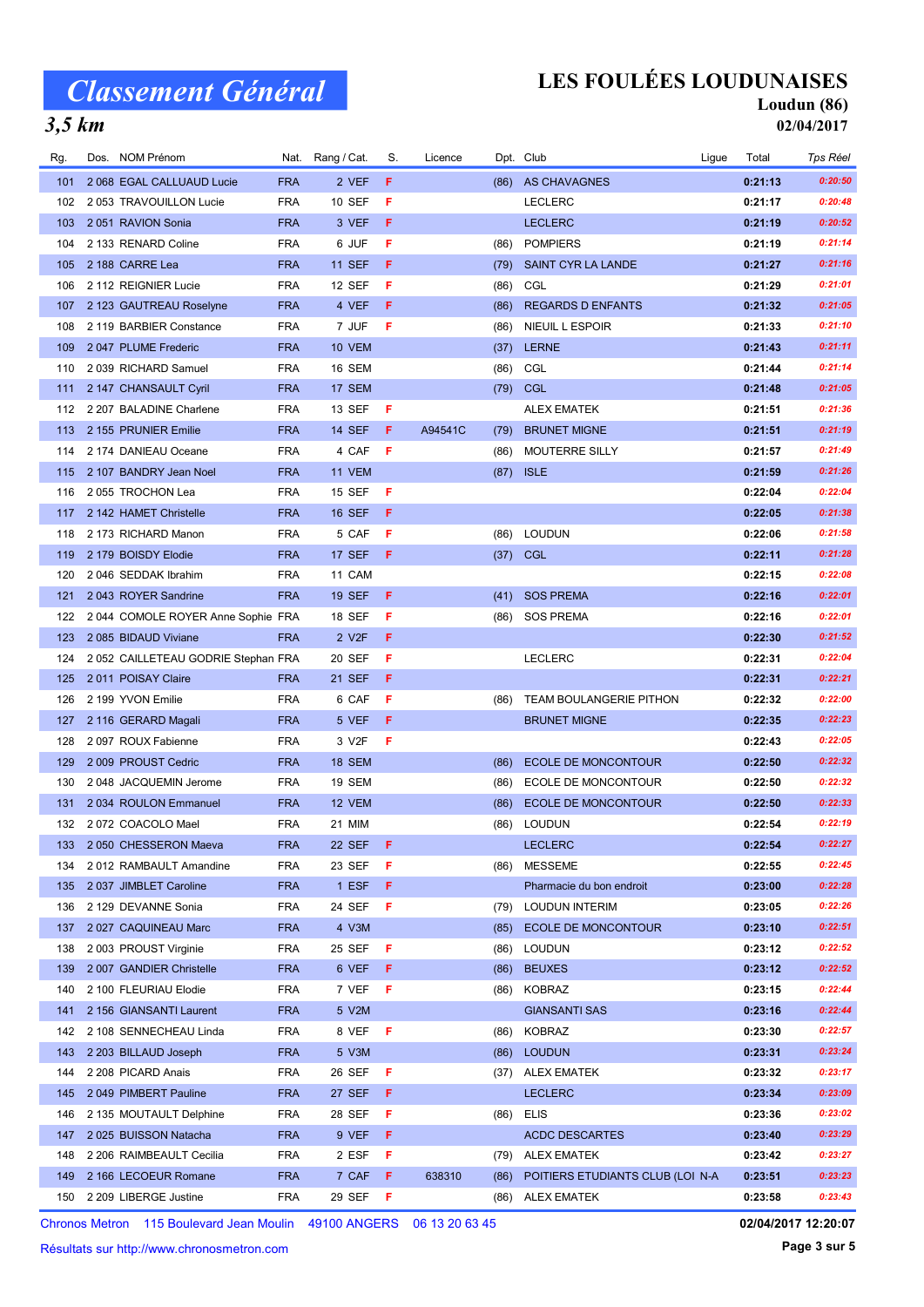#### LES FOULÉES LOUDUNAISES

Nat. Rang / Cat. S. Licence Dpt. Club and the Suite of Ligue Total Tps Réel

#### Loudun (86) 02/04/2017

#### $3,5$  km

| 103 | 2051 RAVION Sonia                                                    | <b>FRA</b> | 3 VEF              | F   |         |            | <b>LECLERC</b>                   | 0:21:19 | 0:20:52             |
|-----|----------------------------------------------------------------------|------------|--------------------|-----|---------|------------|----------------------------------|---------|---------------------|
| 104 | 2 133 RENARD Coline                                                  | <b>FRA</b> | 6 JUF              | F   |         | (86)       | <b>POMPIERS</b>                  | 0:21:19 | 0:21:14             |
| 105 | 2 188 CARRE Lea                                                      | <b>FRA</b> | <b>11 SEF</b>      | F   |         | (79)       | SAINT CYR LA LANDE               | 0:21:27 | 0:21:16             |
| 106 | 2 112 REIGNIER Lucie                                                 | <b>FRA</b> | 12 SEF             | F   |         | (86)       | CGL                              | 0:21:29 | 0:21:01             |
| 107 | 2 123 GAUTREAU Roselyne                                              | <b>FRA</b> | 4 VEF              | F   |         | (86)       | <b>REGARDS D ENFANTS</b>         | 0:21:32 | 0:21:05             |
| 108 | 2 119 BARBIER Constance                                              | <b>FRA</b> | 7 JUF              | F   |         | (86)       | NIEUIL L ESPOIR                  | 0:21:33 | 0:21:10             |
| 109 | 2047 PLUME Frederic                                                  | <b>FRA</b> | 10 VEM             |     |         | (37)       | <b>LERNE</b>                     | 0:21:43 | 0:21:11             |
| 110 | 2039 RICHARD Samuel                                                  | <b>FRA</b> | 16 SEM             |     |         | (86)       | CGL                              | 0:21:44 | 0:21:14             |
| 111 | 2 147 CHANSAULT Cyril                                                | <b>FRA</b> | 17 SEM             |     |         | (79) CGL   |                                  | 0:21:48 | 0:21:05             |
| 112 | 2 207 BALADINE Charlene                                              | <b>FRA</b> | 13 SEF             | -F  |         |            | <b>ALEX EMATEK</b>               | 0:21:51 | 0:21:36             |
| 113 | 2 155 PRUNIER Emilie                                                 | <b>FRA</b> | <b>14 SEF</b>      | F.  | A94541C | (79)       | <b>BRUNET MIGNE</b>              | 0:21:51 | 0:21:19             |
| 114 | 2 174 DANIEAU Oceane                                                 | <b>FRA</b> | 4 CAF              | -F  |         | (86)       | <b>MOUTERRE SILLY</b>            | 0:21:57 | 0:21:49             |
| 115 | 2 107 BANDRY Jean Noel                                               | <b>FRA</b> | 11 VEM             |     |         |            | $(87)$ ISLE                      | 0:21:59 | 0:21:26             |
| 116 | 2055 TROCHON Lea                                                     | <b>FRA</b> | 15 SEF             | -F  |         |            |                                  | 0:22:04 | 0:22:04             |
| 117 | 2 142 HAMET Christelle                                               | <b>FRA</b> | <b>16 SEF</b>      | F   |         |            |                                  | 0:22:05 | 0:21:38             |
| 118 | 2 173 RICHARD Manon                                                  | <b>FRA</b> | 5 CAF              | F   |         | (86)       | <b>LOUDUN</b>                    | 0:22:06 | 0:21:58             |
| 119 | 2 179 BOISDY Elodie                                                  | <b>FRA</b> | 17 SEF             | F   |         | $(37)$ CGL |                                  | 0:22:11 | 0:21:28             |
| 120 | 2046 SEDDAK Ibrahim                                                  | <b>FRA</b> | 11 CAM             |     |         |            |                                  | 0:22:15 | 0:22:08             |
| 121 | 2043 ROYER Sandrine                                                  | <b>FRA</b> | <b>19 SEF</b>      | F   |         | (41)       | <b>SOS PREMA</b>                 | 0:22:16 | 0:22:01             |
| 122 | 2044 COMOLE ROYER Anne Sophie FRA                                    |            | 18 SEF             | F   |         | (86)       | <b>SOS PREMA</b>                 | 0:22:16 | 0:22:01             |
| 123 | 2 085 BIDAUD Viviane                                                 | <b>FRA</b> | 2 V <sub>2</sub> F | F   |         |            |                                  | 0:22:30 | 0:21:52             |
| 124 | 2052 CAILLETEAU GODRIE Stephan FRA                                   |            | 20 SEF             | F   |         |            | <b>LECLERC</b>                   | 0:22:31 | 0:22:04             |
| 125 | 2011 POISAY Claire                                                   | <b>FRA</b> | 21 SEF             | F   |         |            |                                  | 0:22:31 | 0:22:21             |
| 126 | 2 199 YVON Emilie                                                    | <b>FRA</b> | 6 CAF              | F   |         | (86)       | TEAM BOULANGERIE PITHON          | 0:22:32 | 0:22:00             |
| 127 | 2 116 GERARD Magali                                                  | <b>FRA</b> | 5 VEF              | F   |         |            | <b>BRUNET MIGNE</b>              | 0:22:35 | 0:22:23             |
| 128 | 2097 ROUX Fabienne                                                   | <b>FRA</b> | 3 V <sub>2</sub> F | F   |         |            |                                  | 0:22:43 | 0:22:05             |
| 129 | 2 009 PROUST Cedric                                                  | <b>FRA</b> | <b>18 SEM</b>      |     |         | (86)       | <b>ECOLE DE MONCONTOUR</b>       | 0:22:50 | 0:22:32             |
| 130 | 2 048 JACQUEMIN Jerome                                               | <b>FRA</b> | <b>19 SEM</b>      |     |         | (86)       | ECOLE DE MONCONTOUR              | 0:22:50 | 0:22:32             |
| 131 | 2034 ROULON Emmanuel                                                 | <b>FRA</b> | 12 VEM             |     |         | (86)       | ECOLE DE MONCONTOUR              | 0:22:50 | 0:22:33             |
| 132 | 2072 COACOLO Mael                                                    | <b>FRA</b> | 21 MIM             |     |         | (86)       | LOUDUN                           | 0:22:54 | 0:22:19             |
| 133 | 2050 CHESSERON Maeva                                                 | <b>FRA</b> | <b>22 SEF</b>      | F   |         |            | <b>LECLERC</b>                   | 0:22:54 | 0:22:27             |
| 134 | 2012 RAMBAULT Amandine                                               | <b>FRA</b> | 23 SEF             | -F  |         | (86)       | <b>MESSEME</b>                   | 0:22:55 | 0:22:45             |
| 135 | 2 037 JIMBLET Caroline                                               | <b>FRA</b> | 1 ESF              | F   |         |            | Pharmacie du bon endroit         | 0:23:00 | 0:22:28             |
| 136 | 2 129 DEVANNE Sonia                                                  | <b>FRA</b> | 24 SEF             | F   |         | (79)       | <b>LOUDUN INTERIM</b>            | 0:23:05 | 0:22:26             |
| 137 | 2 027 CAQUINEAU Marc                                                 | <b>FRA</b> | 4 V3M              |     |         | (85)       | <b>ECOLE DE MONCONTOUR</b>       | 0:23:10 | 0:22:51             |
| 138 | 2 003 PROUST Virginie                                                | <b>FRA</b> | 25 SEF             | -F  |         | (86)       | <b>LOUDUN</b>                    | 0:23:12 | 0:22:52             |
| 139 | 2 007 GANDIER Christelle                                             | <b>FRA</b> | 6 VEF              | F   |         | (86)       | <b>BEUXES</b>                    | 0:23:12 | 0:22:52             |
| 140 | 2 100 FLEURIAU Elodie                                                | <b>FRA</b> | 7 VEF              | F   |         | (86)       | <b>KOBRAZ</b>                    | 0:23:15 | 0:22:44             |
| 141 | 2 156 GIANSANTI Laurent                                              | <b>FRA</b> | 5 V2M              |     |         |            | <b>GIANSANTI SAS</b>             | 0:23:16 | 0:22:44             |
| 142 | 2 108 SENNECHEAU Linda                                               | <b>FRA</b> | 8 VEF              | - F |         | (86)       | KOBRAZ                           | 0:23:30 | 0:22:57             |
| 143 | 2 203 BILLAUD Joseph                                                 | <b>FRA</b> | 5 V3M              |     |         | (86)       | <b>LOUDUN</b>                    | 0:23:31 | 0:23:24             |
| 144 | 2 208 PICARD Anais                                                   | <b>FRA</b> | 26 SEF             | F   |         |            | (37) ALEX EMATEK                 | 0:23:32 | 0:23:17             |
| 145 | 2049 PIMBERT Pauline                                                 | <b>FRA</b> | 27 SEF             | F   |         |            | <b>LECLERC</b>                   | 0:23:34 | 0:23:09             |
| 146 | 2 135 MOUTAULT Delphine                                              | <b>FRA</b> | 28 SEF             | F   |         | (86)       | ELIS                             | 0:23:36 | 0:23:02             |
| 147 | 2025 BUISSON Natacha                                                 | <b>FRA</b> | 9 VEF              | F   |         |            | <b>ACDC DESCARTES</b>            | 0:23:40 | 0:23:29             |
| 148 | 2 206 RAIMBEAULT Cecilia                                             | <b>FRA</b> | 2 ESF              | F   |         | (79)       | <b>ALEX EMATEK</b>               | 0:23:42 | 0:23:27             |
| 149 | 2 166 LECOEUR Romane                                                 | <b>FRA</b> | 7 CAF              | F.  | 638310  | (86)       | POITIERS ETUDIANTS CLUB (LOI N-A | 0:23:51 | 0:23:23             |
| 150 | 2 209 LIBERGE Justine                                                | <b>FRA</b> | 29 SEF             | F   |         |            | (86) ALEX EMATEK                 | 0:23:58 | 0:23:43             |
|     | Chronos Metron 115 Boulevard Jean Moulin 49100 ANGERS 06 13 20 63 45 |            |                    |     |         |            |                                  |         | 02/04/2017 12:20:07 |

Rg. Dos. NOM Prénom **Mat. Rang / Cat. S. Licence** Dpt. Club

Chronos Metron 115 Boulevard Jean Moulin 49100 ANGERS 06 13 20 63 45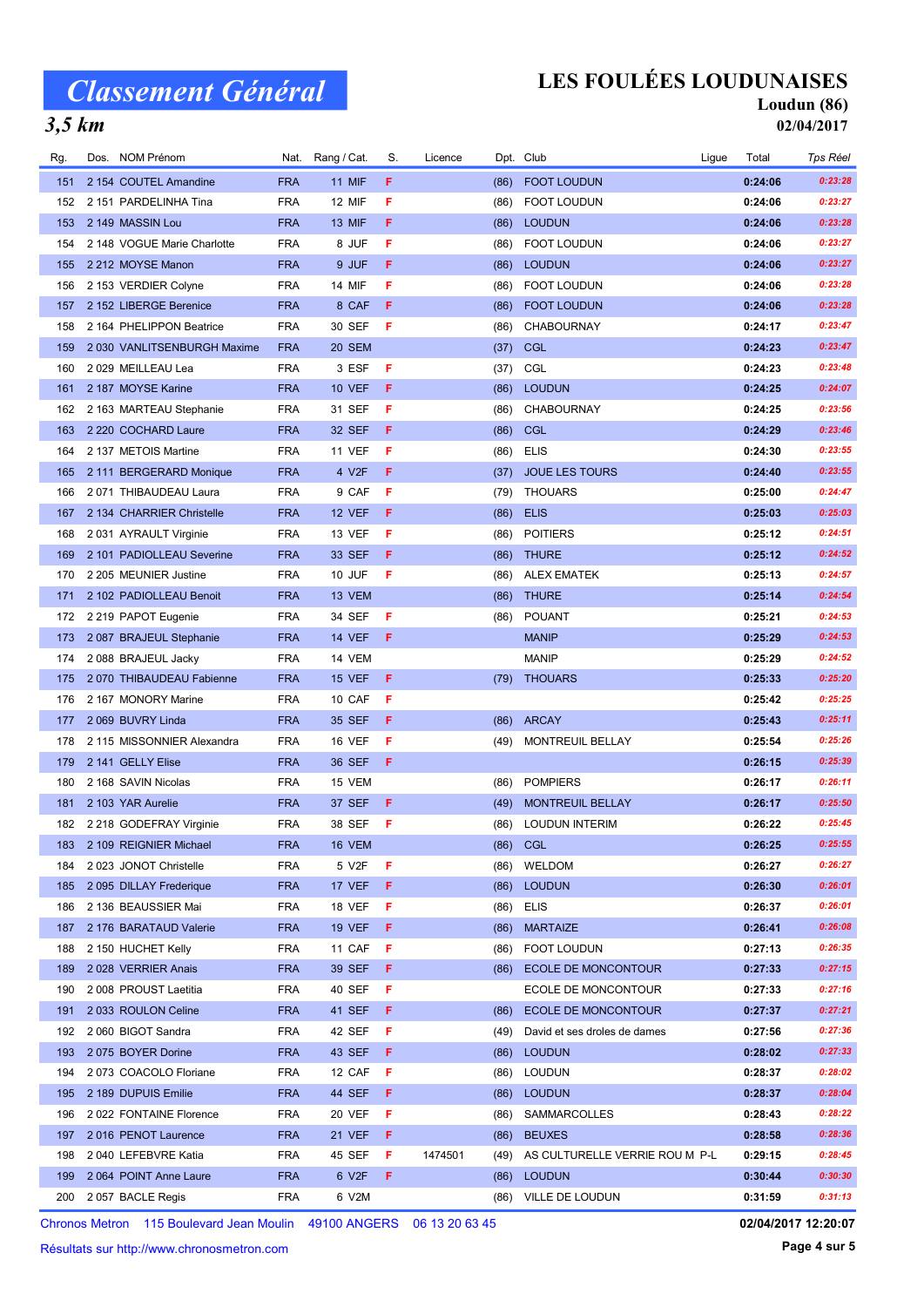$3,5$  km

#### LES FOULÉES LOUDUNAISES

#### Loudun (86)

02/04/2017

| Rg. | Dos. NOM Prénom             | Nat.       | Rang / Cat.   | S. | Licence |      | Dpt. Club                      | Ligue | Total   | Tps Réel |
|-----|-----------------------------|------------|---------------|----|---------|------|--------------------------------|-------|---------|----------|
| 151 | 2 154 COUTEL Amandine       | <b>FRA</b> | <b>11 MIF</b> | F. |         | (86) | <b>FOOT LOUDUN</b>             |       | 0:24:06 | 0:23:28  |
| 152 | 2 151 PARDELINHA Tina       | <b>FRA</b> | 12 MIF        | F  |         | (86) | <b>FOOT LOUDUN</b>             |       | 0:24:06 | 0:23:27  |
| 153 | 2 149 MASSIN Lou            | <b>FRA</b> | <b>13 MIF</b> | F. |         | (86) | <b>LOUDUN</b>                  |       | 0:24:06 | 0:23:28  |
| 154 | 2 148 VOGUE Marie Charlotte | <b>FRA</b> | 8 JUF         | F  |         | (86) | FOOT LOUDUN                    |       | 0:24:06 | 0:23:27  |
| 155 | 2 212 MOYSE Manon           | <b>FRA</b> | 9 JUF         | F. |         | (86) | <b>LOUDUN</b>                  |       | 0:24:06 | 0:23:27  |
| 156 | 2 153 VERDIER Colyne        | <b>FRA</b> | 14 MIF        | F  |         | (86) | <b>FOOT LOUDUN</b>             |       | 0:24:06 | 0:23:28  |
| 157 | 2 152 LIBERGE Berenice      | <b>FRA</b> | 8 CAF         | F  |         | (86) | <b>FOOT LOUDUN</b>             |       | 0:24:06 | 0:23:28  |
| 158 | 2 164 PHELIPPON Beatrice    | <b>FRA</b> | 30 SEF        | F  |         | (86) | <b>CHABOURNAY</b>              |       | 0:24:17 | 0:23:47  |
| 159 | 2030 VANLITSENBURGH Maxime  | <b>FRA</b> | 20 SEM        |    |         | (37) | <b>CGL</b>                     |       | 0:24:23 | 0:23:47  |
| 160 | 2029 MEILLEAU Lea           | <b>FRA</b> | 3 ESF         | F  |         | (37) | CGL                            |       | 0:24:23 | 0:23:48  |
| 161 | 2 187 MOYSE Karine          | <b>FRA</b> | <b>10 VEF</b> | F. |         | (86) | <b>LOUDUN</b>                  |       | 0:24:25 | 0:24:07  |
| 162 | 2 163 MARTEAU Stephanie     | <b>FRA</b> | 31 SEF        | F  |         | (86) | <b>CHABOURNAY</b>              |       | 0:24:25 | 0:23:56  |
| 163 | 2 220 COCHARD Laure         | <b>FRA</b> | 32 SEF        | F  |         | (86) | <b>CGL</b>                     |       | 0:24:29 | 0:23:46  |
| 164 | 2 137 METOIS Martine        | <b>FRA</b> | <b>11 VEF</b> | F  |         | (86) | <b>ELIS</b>                    |       | 0:24:30 | 0:23:55  |
| 165 | 2 111 BERGERARD Monique     | <b>FRA</b> | 4 V2F         | F. |         | (37) | <b>JOUE LES TOURS</b>          |       | 0:24:40 | 0:23:55  |
| 166 | 2071 THIBAUDEAU Laura       | <b>FRA</b> | 9 CAF         | F  |         | (79) | <b>THOUARS</b>                 |       | 0:25:00 | 0:24:47  |
| 167 | 2 134 CHARRIER Christelle   | <b>FRA</b> | <b>12 VEF</b> | F  |         | (86) | <b>ELIS</b>                    |       | 0:25:03 | 0:25:03  |
| 168 | 2 031 AYRAULT Virginie      | <b>FRA</b> | 13 VEF        | F  |         | (86) | <b>POITIERS</b>                |       | 0:25:12 | 0:24:51  |
| 169 | 2 101 PADIOLLEAU Severine   | <b>FRA</b> | 33 SEF        | F. |         |      | (86) THURE                     |       | 0:25:12 | 0:24:52  |
| 170 | 2 205 MEUNIER Justine       | <b>FRA</b> | 10 JUF        | F  |         | (86) | <b>ALEX EMATEK</b>             |       | 0:25:13 | 0:24:57  |
| 171 | 2 102 PADIOLLEAU Benoit     | <b>FRA</b> | 13 VEM        |    |         | (86) | <b>THURE</b>                   |       | 0:25:14 | 0:24:54  |
| 172 | 2 219 PAPOT Eugenie         | <b>FRA</b> | 34 SEF        | F  |         | (86) | <b>POUANT</b>                  |       | 0:25:21 | 0:24:53  |
| 173 | 2087 BRAJEUL Stephanie      | <b>FRA</b> | <b>14 VEF</b> | F  |         |      | <b>MANIP</b>                   |       | 0:25:29 | 0:24:53  |
| 174 | 2088 BRAJEUL Jacky          | <b>FRA</b> | 14 VEM        |    |         |      | <b>MANIP</b>                   |       | 0:25:29 | 0:24:52  |
| 175 | 2 070 THIBAUDEAU Fabienne   | <b>FRA</b> | <b>15 VEF</b> | F  |         | (79) | <b>THOUARS</b>                 |       | 0:25:33 | 0:25:20  |
| 176 | 2 167 MONORY Marine         | <b>FRA</b> | 10 CAF        | F  |         |      |                                |       | 0:25:42 | 0:25:25  |
| 177 | 2 069 BUVRY Linda           | <b>FRA</b> | 35 SEF        | F. |         | (86) | <b>ARCAY</b>                   |       | 0:25:43 | 0:25:11  |
| 178 | 2 115 MISSONNIER Alexandra  | <b>FRA</b> | <b>16 VEF</b> | F  |         | (49) | MONTREUIL BELLAY               |       | 0:25:54 | 0:25:26  |
| 179 | 2 141 GELLY Elise           | <b>FRA</b> | 36 SEF        | F  |         |      |                                |       | 0:26:15 | 0:25:39  |
| 180 | 2 168 SAVIN Nicolas         | <b>FRA</b> | 15 VEM        |    |         | (86) | <b>POMPIERS</b>                |       | 0:26:17 | 0:26:11  |
| 181 | 2 103 YAR Aurelie           | <b>FRA</b> | 37 SEF        | F  |         | (49) | <b>MONTREUIL BELLAY</b>        |       | 0:26:17 | 0:25:50  |
| 182 | 2 218 GODEFRAY Virginie     | <b>FRA</b> | 38 SEF        | F  |         | (86) | <b>LOUDUN INTERIM</b>          |       | 0:26:22 | 0:25:45  |
| 183 | 2 109 REIGNIER Michael      | <b>FRA</b> | 16 VEM        |    |         |      | (86) CGL                       |       | 0:26:25 | 0:25:55  |
| 184 | 2023 JONOT Christelle       | <b>FRA</b> | 5 V2F         | F  |         |      | (86) WELDOM                    |       | 0:26:27 | 0:26:27  |
| 185 | 2095 DILLAY Frederique      | <b>FRA</b> | 17 VEF        | F  |         | (86) | <b>LOUDUN</b>                  |       | 0:26:30 | 0:26:01  |
| 186 | 2 136 BEAUSSIER Mai         | <b>FRA</b> | <b>18 VEF</b> | F  |         | (86) | <b>ELIS</b>                    |       | 0:26:37 | 0:26:01  |
| 187 | 2 176 BARATAUD Valerie      | <b>FRA</b> | <b>19 VEF</b> | F  |         | (86) | <b>MARTAIZE</b>                |       | 0:26:41 | 0:26:08  |
| 188 | 2 150 HUCHET Kelly          | <b>FRA</b> | 11 CAF        | F  |         | (86) | FOOT LOUDUN                    |       | 0:27:13 | 0:26:35  |
| 189 | 2028 VERRIER Anais          | <b>FRA</b> | 39 SEF        | F  |         | (86) | <b>ECOLE DE MONCONTOUR</b>     |       | 0:27:33 | 0:27:15  |
| 190 | 2008 PROUST Laetitia        | <b>FRA</b> | 40 SEF        | F  |         |      | ECOLE DE MONCONTOUR            |       | 0:27:33 | 0:27:16  |
| 191 | 2033 ROULON Celine          | <b>FRA</b> | 41 SEF        | F  |         | (86) | <b>ECOLE DE MONCONTOUR</b>     |       | 0:27:37 | 0:27:21  |
| 192 | 2 060 BIGOT Sandra          | <b>FRA</b> | 42 SEF        | F  |         | (49) | David et ses droles de dames   |       | 0:27:56 | 0:27:36  |
| 193 | 2075 BOYER Dorine           | <b>FRA</b> | 43 SEF        | F  |         | (86) | <b>LOUDUN</b>                  |       | 0:28:02 | 0:27:33  |
| 194 | 2073 COACOLO Floriane       | <b>FRA</b> | 12 CAF        | F  |         |      | (86) LOUDUN                    |       | 0:28:37 | 0:28:02  |
| 195 | 2 189 DUPUIS Emilie         | <b>FRA</b> | 44 SEF        | F. |         | (86) | <b>LOUDUN</b>                  |       | 0:28:37 | 0:28:04  |
| 196 | 2022 FONTAINE Florence      | <b>FRA</b> | 20 VEF        | F  |         | (86) | SAMMARCOLLES                   |       | 0:28:43 | 0:28:22  |
| 197 | 2016 PENOT Laurence         | <b>FRA</b> | <b>21 VEF</b> | F  |         | (86) | <b>BEUXES</b>                  |       | 0:28:58 | 0:28:36  |
| 198 | 2 040 LEFEBVRE Katia        | <b>FRA</b> | 45 SEF        | F  | 1474501 | (49) | AS CULTURELLE VERRIE ROU M P-L |       | 0:29:15 | 0:28:45  |
| 199 | 2064 POINT Anne Laure       | <b>FRA</b> | 6 V2F         | F. |         | (86) | <b>LOUDUN</b>                  |       | 0:30:44 | 0:30:30  |
|     | 200 2 057 BACLE Regis       | <b>FRA</b> | 6 V2M         |    |         |      | (86) VILLE DE LOUDUN           |       | 0:31:59 | 0:31:13  |
|     |                             |            |               |    |         |      |                                |       |         |          |

Chronos Metron 115 Boulevard Jean Moulin 49100 ANGERS 06 13 20 63 45